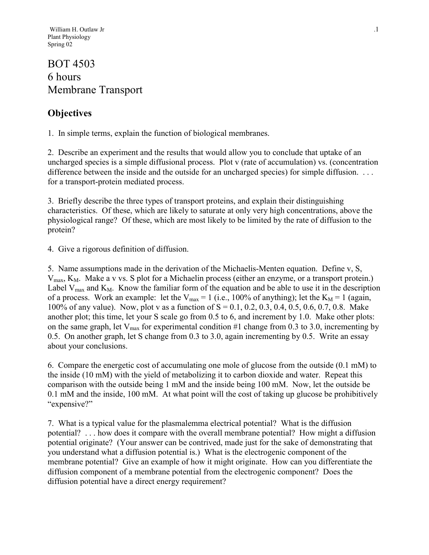## BOT 4503 6 hours Membrane Transport

## **Objectives**

1. In simple terms, explain the function of biological membranes.

2. Describe an experiment and the results that would allow you to conclude that uptake of an uncharged species is a simple diffusional process. Plot v (rate of accumulation) vs. (concentration difference between the inside and the outside for an uncharged species) for simple diffusion. . . . for a transport-protein mediated process.

3. Briefly describe the three types of transport proteins, and explain their distinguishing characteristics. Of these, which are likely to saturate at only very high concentrations, above the physiological range? Of these, which are most likely to be limited by the rate of diffusion to the protein?

4. Give a rigorous definition of diffusion.

5. Name assumptions made in the derivation of the Michaelis-Menten equation. Define v, S,  $V_{\text{max}}$ ,  $K_M$ . Make a v vs. S plot for a Michaelin process (either an enzyme, or a transport protein.) Label  $V_{\text{max}}$  and  $K_M$ . Know the familiar form of the equation and be able to use it in the description of a process. Work an example: let the  $V_{max} = 1$  (i.e., 100% of anything); let the  $K_M = 1$  (again, 100% of any value). Now, plot v as a function of  $S = 0.1, 0.2, 0.3, 0.4, 0.5, 0.6, 0.7, 0.8$ . Make another plot; this time, let your S scale go from 0.5 to 6, and increment by 1.0. Make other plots: on the same graph, let  $V_{\text{max}}$  for experimental condition #1 change from 0.3 to 3.0, incrementing by 0.5. On another graph, let S change from 0.3 to 3.0, again incrementing by 0.5. Write an essay about your conclusions.

6. Compare the energetic cost of accumulating one mole of glucose from the outside (0.1 mM) to the inside (10 mM) with the yield of metabolizing it to carbon dioxide and water. Repeat this comparison with the outside being 1 mM and the inside being 100 mM. Now, let the outside be 0.1 mM and the inside, 100 mM. At what point will the cost of taking up glucose be prohibitively "expensive?"

7. What is a typical value for the plasmalemma electrical potential? What is the diffusion potential? . . . how does it compare with the overall membrane potential? How might a diffusion potential originate? (Your answer can be contrived, made just for the sake of demonstrating that you understand what a diffusion potential is.) What is the electrogenic component of the membrane potential? Give an example of how it might originate. How can you differentiate the diffusion component of a membrane potential from the electrogenic component? Does the diffusion potential have a direct energy requirement?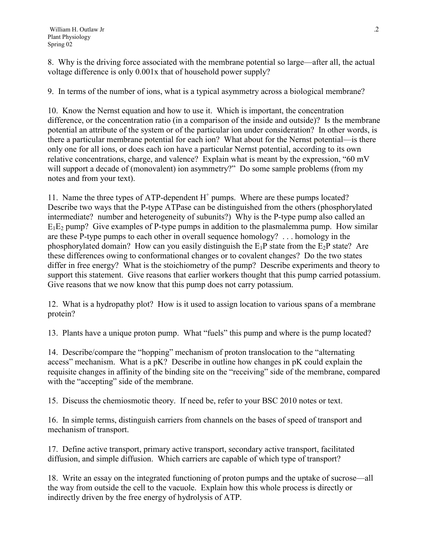8. Why is the driving force associated with the membrane potential so large—after all, the actual voltage difference is only 0.001x that of household power supply?

9. In terms of the number of ions, what is a typical asymmetry across a biological membrane?

10. Know the Nernst equation and how to use it. Which is important, the concentration difference, or the concentration ratio (in a comparison of the inside and outside)? Is the membrane potential an attribute of the system or of the particular ion under consideration? In other words, is there a particular membrane potential for each ion? What about for the Nernst potential—is there only one for all ions, or does each ion have a particular Nernst potential, according to its own relative concentrations, charge, and valence? Explain what is meant by the expression, "60 mV will support a decade of (monovalent) ion asymmetry?" Do some sample problems (from my notes and from your text).

11. Name the three types of ATP-dependent  $H^+$  pumps. Where are these pumps located? Describe two ways that the P-type ATPase can be distinguished from the others (phosphorylated intermediate? number and heterogeneity of subunits?) Why is the P-type pump also called an  $E_1E_2$  pump? Give examples of P-type pumps in addition to the plasmalemma pump. How similar are these P-type pumps to each other in overall sequence homology? . . . homology in the phosphorylated domain? How can you easily distinguish the  $E_1P$  state from the  $E_2P$  state? Are these differences owing to conformational changes or to covalent changes? Do the two states differ in free energy? What is the stoichiometry of the pump? Describe experiments and theory to support this statement. Give reasons that earlier workers thought that this pump carried potassium. Give reasons that we now know that this pump does not carry potassium.

12. What is a hydropathy plot? How is it used to assign location to various spans of a membrane protein?

13. Plants have a unique proton pump. What "fuels" this pump and where is the pump located?

14. Describe/compare the "hopping" mechanism of proton translocation to the "alternating access" mechanism. What is a pK? Describe in outline how changes in pK could explain the requisite changes in affinity of the binding site on the "receiving" side of the membrane, compared with the "accepting" side of the membrane.

15. Discuss the chemiosmotic theory. If need be, refer to your BSC 2010 notes or text.

16. In simple terms, distinguish carriers from channels on the bases of speed of transport and mechanism of transport.

17. Define active transport, primary active transport, secondary active transport, facilitated diffusion, and simple diffusion. Which carriers are capable of which type of transport?

18. Write an essay on the integrated functioning of proton pumps and the uptake of sucrose—all the way from outside the cell to the vacuole. Explain how this whole process is directly or indirectly driven by the free energy of hydrolysis of ATP.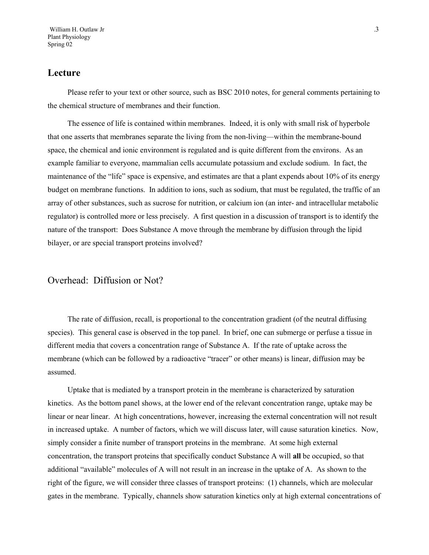#### **Lecture**

Please refer to your text or other source, such as BSC 2010 notes, for general comments pertaining to the chemical structure of membranes and their function.

The essence of life is contained within membranes. Indeed, it is only with small risk of hyperbole that one asserts that membranes separate the living from the non-living—within the membrane-bound space, the chemical and ionic environment is regulated and is quite different from the environs. As an example familiar to everyone, mammalian cells accumulate potassium and exclude sodium. In fact, the maintenance of the "life" space is expensive, and estimates are that a plant expends about 10% of its energy budget on membrane functions. In addition to ions, such as sodium, that must be regulated, the traffic of an array of other substances, such as sucrose for nutrition, or calcium ion (an inter- and intracellular metabolic regulator) is controlled more or less precisely. A first question in a discussion of transport is to identify the nature of the transport: Does Substance A move through the membrane by diffusion through the lipid bilayer, or are special transport proteins involved?

#### Overhead: Diffusion or Not?

The rate of diffusion, recall, is proportional to the concentration gradient (of the neutral diffusing species). This general case is observed in the top panel. In brief, one can submerge or perfuse a tissue in different media that covers a concentration range of Substance A. If the rate of uptake across the membrane (which can be followed by a radioactive "tracer" or other means) is linear, diffusion may be assumed.

Uptake that is mediated by a transport protein in the membrane is characterized by saturation kinetics. As the bottom panel shows, at the lower end of the relevant concentration range, uptake may be linear or near linear. At high concentrations, however, increasing the external concentration will not result in increased uptake. A number of factors, which we will discuss later, will cause saturation kinetics. Now, simply consider a finite number of transport proteins in the membrane. At some high external concentration, the transport proteins that specifically conduct Substance A will **all** be occupied, so that additional "available" molecules of A will not result in an increase in the uptake of A. As shown to the right of the figure, we will consider three classes of transport proteins: (1) channels, which are molecular gates in the membrane. Typically, channels show saturation kinetics only at high external concentrations of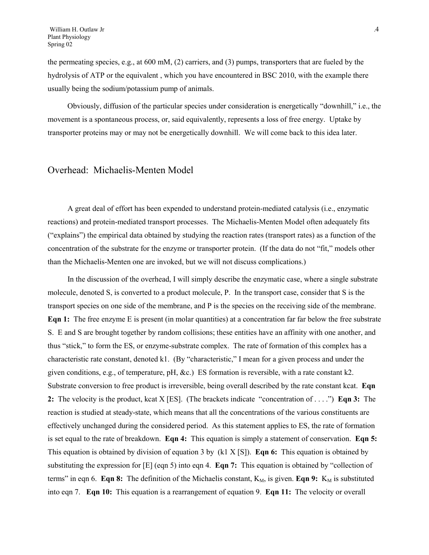the permeating species, e.g., at 600 mM, (2) carriers, and (3) pumps, transporters that are fueled by the hydrolysis of ATP or the equivalent , which you have encountered in BSC 2010, with the example there usually being the sodium/potassium pump of animals.

Obviously, diffusion of the particular species under consideration is energetically "downhill," i.e., the movement is a spontaneous process, or, said equivalently, represents a loss of free energy. Uptake by transporter proteins may or may not be energetically downhill. We will come back to this idea later.

#### Overhead: Michaelis-Menten Model

A great deal of effort has been expended to understand protein-mediated catalysis (i.e., enzymatic reactions) and protein-mediated transport processes. The Michaelis-Menten Model often adequately fits ("explains") the empirical data obtained by studying the reaction rates (transport rates) as a function of the concentration of the substrate for the enzyme or transporter protein. (If the data do not "fit," models other than the Michaelis-Menten one are invoked, but we will not discuss complications.)

In the discussion of the overhead, I will simply describe the enzymatic case, where a single substrate molecule, denoted S, is converted to a product molecule, P. In the transport case, consider that S is the transport species on one side of the membrane, and P is the species on the receiving side of the membrane. **Eqn 1:** The free enzyme E is present (in molar quantities) at a concentration far far below the free substrate S. E and S are brought together by random collisions; these entities have an affinity with one another, and thus "stick," to form the ES, or enzyme-substrate complex. The rate of formation of this complex has a characteristic rate constant, denoted k1. (By "characteristic," I mean for a given process and under the given conditions, e.g., of temperature, pH, &c.) ES formation is reversible, with a rate constant k2. Substrate conversion to free product is irreversible, being overall described by the rate constant kcat. **Eqn 2:** The velocity is the product, kcat X [ES]. (The brackets indicate "concentration of . . . .") **Eqn 3:** The reaction is studied at steady-state, which means that all the concentrations of the various constituents are effectively unchanged during the considered period. As this statement applies to ES, the rate of formation is set equal to the rate of breakdown. **Eqn 4:** This equation is simply a statement of conservation. **Eqn 5:**  This equation is obtained by division of equation 3 by (k1 X [S]). **Eqn 6:** This equation is obtained by substituting the expression for [E] (eqn 5) into eqn 4. **Eqn 7:** This equation is obtained by "collection of terms" in eqn 6. **Eqn 8:** The definition of the Michaelis constant,  $K_M$ , is given. **Eqn 9:**  $K_M$  is substituted into eqn 7. **Eqn 10:** This equation is a rearrangement of equation 9. **Eqn 11:** The velocity or overall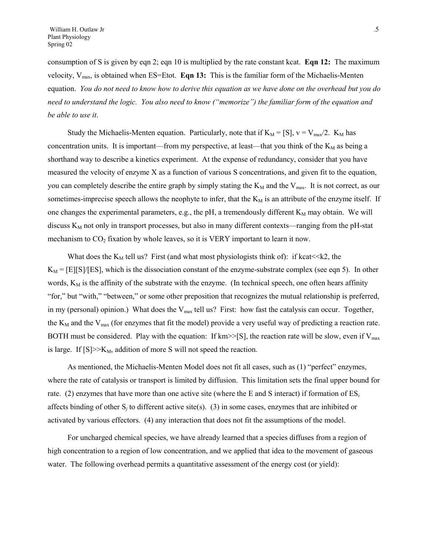consumption of S is given by eqn 2; eqn 10 is multiplied by the rate constant kcat. **Eqn 12:** The maximum velocity, Vmax, is obtained when ES=Etot. **Eqn 13:** This is the familiar form of the Michaelis-Menten equation. *You do not need to know how to derive this equation as we have done on the overhead but you do need to understand the logic. You also need to know ("memorize") the familiar form of the equation and be able to use it*.

Study the Michaelis-Menten equation. Particularly, note that if  $K_M = [S]$ ,  $v = V_{max}/2$ .  $K_M$  has concentration units. It is important—from my perspective, at least—that you think of the  $K_M$  as being a shorthand way to describe a kinetics experiment. At the expense of redundancy, consider that you have measured the velocity of enzyme X as a function of various S concentrations, and given fit to the equation, you can completely describe the entire graph by simply stating the  $K_M$  and the  $V_{\text{max}}$ . It is not correct, as our sometimes-imprecise speech allows the neophyte to infer, that the  $K_M$  is an attribute of the enzyme itself. If one changes the experimental parameters, e.g., the pH, a tremendously different  $K_M$  may obtain. We will discuss  $K_M$  not only in transport processes, but also in many different contexts—ranging from the pH-stat mechanism to  $CO<sub>2</sub>$  fixation by whole leaves, so it is VERY important to learn it now.

What does the  $K_M$  tell us? First (and what most physiologists think of): if kcat<<k2, the  $K_M = [E][S]/[ES]$ , which is the dissociation constant of the enzyme-substrate complex (see eqn 5). In other words,  $K_M$  is the affinity of the substrate with the enzyme. (In technical speech, one often hears affinity "for," but "with," "between," or some other preposition that recognizes the mutual relationship is preferred, in my (personal) opinion.) What does the V<sub>max</sub> tell us? First: how fast the catalysis can occur. Together, the  $K_M$  and the  $V_{max}$  (for enzymes that fit the model) provide a very useful way of predicting a reaction rate. BOTH must be considered. Play with the equation: If km>>[S], the reaction rate will be slow, even if  $V_{\text{max}}$ is large. If  $[S] \geq X_M$ , addition of more S will not speed the reaction.

As mentioned, the Michaelis-Menten Model does not fit all cases, such as (1) "perfect" enzymes, where the rate of catalysis or transport is limited by diffusion. This limitation sets the final upper bound for rate. (2) enzymes that have more than one active site (where the E and S interact) if formation of  $ES_i$ affects binding of other S*j* to different active site(s). (3) in some cases, enzymes that are inhibited or activated by various effectors. (4) any interaction that does not fit the assumptions of the model.

For uncharged chemical species, we have already learned that a species diffuses from a region of high concentration to a region of low concentration, and we applied that idea to the movement of gaseous water. The following overhead permits a quantitative assessment of the energy cost (or yield):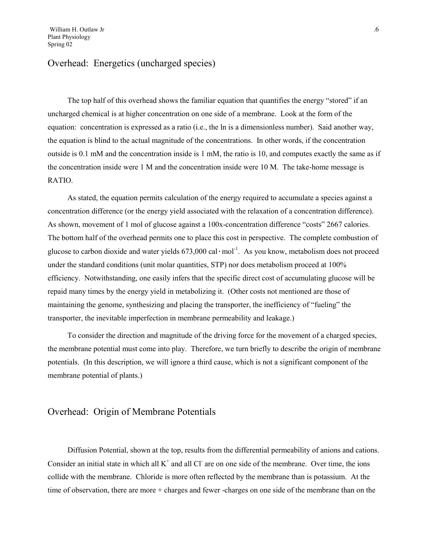### Overhead: Energetics (uncharged species)

The top half of this overhead shows the familiar equation that quantifies the energy "stored" if an uncharged chemical is at higher concentration on one side of a membrane. Look at the form of the equation: concentration is expressed as a ratio (i.e., the ln is a dimensionless number). Said another way, the equation is blind to the actual magnitude of the concentrations. In other words, if the concentration outside is 0.1 mM and the concentration inside is 1 mM, the ratio is 10, and computes exactly the same as if the concentration inside were 1 M and the concentration inside were 10 M. The take-home message is RATIO.

As stated, the equation permits calculation of the energy required to accumulate a species against a concentration difference (or the energy yield associated with the relaxation of a concentration difference). As shown, movement of 1 mol of glucose against a 100x-concentration difference "costs" 2667 calories. The bottom half of the overhead permits one to place this cost in perspective. The complete combustion of glucose to carbon dioxide and water yields  $673,000$  cal·mol<sup>-1</sup>. As you know, metabolism does not proceed under the standard conditions (unit molar quantities, STP) nor does metabolism proceed at 100% efficiency. Notwithstanding, one easily infers that the specific direct cost of accumulating glucose will be repaid many times by the energy yield in metabolizing it. (Other costs not mentioned are those of maintaining the genome, synthesizing and placing the transporter, the inefficiency of "fueling" the transporter, the inevitable imperfection in membrane permeability and leakage.)

To consider the direction and magnitude of the driving force for the movement of a charged species, the membrane potential must come into play. Therefore, we turn briefly to describe the origin of membrane potentials. (In this description, we will ignore a third cause, which is not a significant component of the membrane potential of plants.)

#### Overhead: Origin of Membrane Potentials

Diffusion Potential, shown at the top, results from the differential permeability of anions and cations. Consider an initial state in which all  $K^+$  and all Cl are on one side of the membrane. Over time, the ions collide with the membrane. Chloride is more often reflected by the membrane than is potassium. At the time of observation, there are more + charges and fewer -charges on one side of the membrane than on the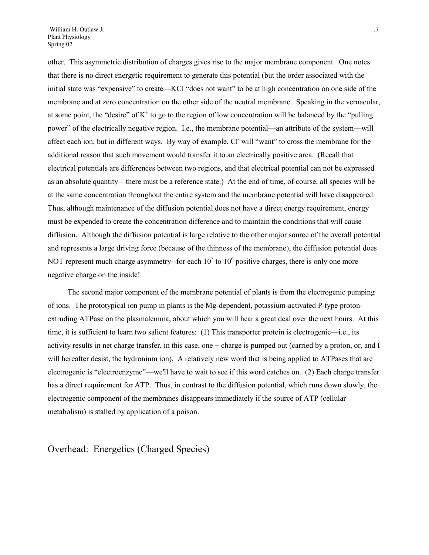other. This asymmetric distribution of charges gives rise to the major membrane component. One notes that there is no direct energetic requirement to generate this potential (but the order associated with the initial state was "expensive" to create—KCl "does not want" to be at high concentration on one side of the membrane and at zero concentration on the other side of the neutral membrane. Speaking in the vernacular, at some point, the "desire" of  $K^+$  to go to the region of low concentration will be balanced by the "pulling power" of the electrically negative region. I.e., the membrane potential—an attribute of the system—will affect each ion, but in different ways. By way of example, Cl will "want" to cross the membrane for the additional reason that such movement would transfer it to an electrically positive area. (Recall that electrical potentials are differences between two regions, and that electrical potential can not be expressed as an absolute quantity—there must be a reference state.) At the end of time, of course, all species will be at the same concentration throughout the entire system and the membrane potential will have disappeared. Thus, although maintenance of the diffusion potential does not have a direct energy requirement, energy must be expended to create the concentration difference and to maintain the conditions that will cause diffusion. Although the diffusion potential is large relative to the other major source of the overall potential and represents a large driving force (because of the thinness of the membrane), the diffusion potential does NOT represent much charge asymmetry--for each  $10<sup>5</sup>$  to  $10<sup>6</sup>$  positive charges, there is only one more negative charge on the inside!

The second major component of the membrane potential of plants is from the electrogenic pumping of ions. The prototypical ion pump in plants is the Mg-dependent, potassium-activated P-type protonextruding ATPase on the plasmalemma, about which you will hear a great deal over the next hours. At this time, it is sufficient to learn two salient features: (1) This transporter protein is electrogenic—i.e., its activity results in net charge transfer, in this case, one + charge is pumped out (carried by a proton, or, and I will hereafter desist, the hydronium ion). A relatively new word that is being applied to ATPases that are electrogenic is "electroenzyme"—we'll have to wait to see if this word catches on. (2) Each charge transfer has a direct requirement for ATP. Thus, in contrast to the diffusion potential, which runs down slowly, the electrogenic component of the membranes disappears immediately if the source of ATP (cellular metabolism) is stalled by application of a poison.

Overhead: Energetics (Charged Species)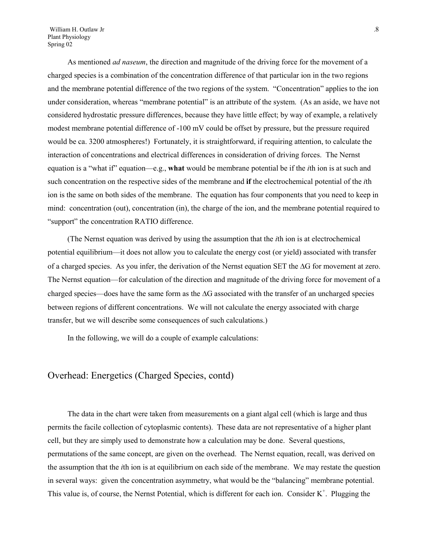William H. Outlaw Jr ... 8 Plant Physiology Spring 02

As mentioned *ad naseum*, the direction and magnitude of the driving force for the movement of a charged species is a combination of the concentration difference of that particular ion in the two regions and the membrane potential difference of the two regions of the system. "Concentration" applies to the ion under consideration, whereas "membrane potential" is an attribute of the system. (As an aside, we have not considered hydrostatic pressure differences, because they have little effect; by way of example, a relatively modest membrane potential difference of -100 mV could be offset by pressure, but the pressure required would be ca. 3200 atmospheres!) Fortunately, it is straightforward, if requiring attention, to calculate the interaction of concentrations and electrical differences in consideration of driving forces. The Nernst equation is a "what if" equation—e.g., **what** would be membrane potential be if the *i*th ion is at such and such concentration on the respective sides of the membrane and **if** the electrochemical potential of the *i*th ion is the same on both sides of the membrane. The equation has four components that you need to keep in mind: concentration (out), concentration (in), the charge of the ion, and the membrane potential required to "support" the concentration RATIO difference.

(The Nernst equation was derived by using the assumption that the *i*th ion is at electrochemical potential equilibrium—it does not allow you to calculate the energy cost (or yield) associated with transfer of a charged species. As you infer, the derivation of the Nernst equation SET the  $\Delta G$  for movement at zero. The Nernst equation—for calculation of the direction and magnitude of the driving force for movement of a charged species—does have the same form as the  $\Delta G$  associated with the transfer of an uncharged species between regions of different concentrations. We will not calculate the energy associated with charge transfer, but we will describe some consequences of such calculations.)

In the following, we will do a couple of example calculations:

#### Overhead: Energetics (Charged Species, contd)

The data in the chart were taken from measurements on a giant algal cell (which is large and thus permits the facile collection of cytoplasmic contents). These data are not representative of a higher plant cell, but they are simply used to demonstrate how a calculation may be done. Several questions, permutations of the same concept, are given on the overhead. The Nernst equation, recall, was derived on the assumption that the *i*th ion is at equilibrium on each side of the membrane. We may restate the question in several ways: given the concentration asymmetry, what would be the "balancing" membrane potential. This value is, of course, the Nernst Potential, which is different for each ion. Consider  $K^+$ . Plugging the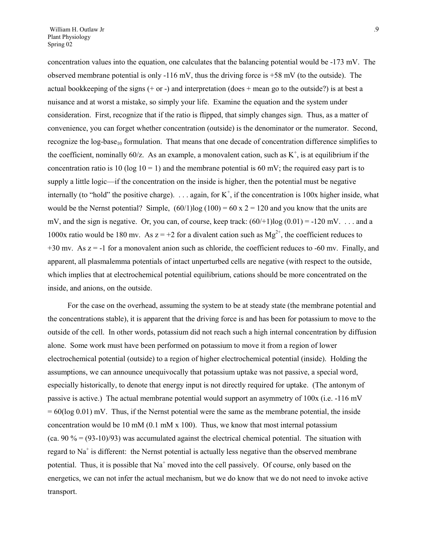concentration values into the equation, one calculates that the balancing potential would be -173 mV. The observed membrane potential is only  $-116$  mV, thus the driving force is  $+58$  mV (to the outside). The actual bookkeeping of the signs  $(+ or -)$  and interpretation  $(does + mean go to the outside?)$  is at best a nuisance and at worst a mistake, so simply your life. Examine the equation and the system under consideration. First, recognize that if the ratio is flipped, that simply changes sign. Thus, as a matter of convenience, you can forget whether concentration (outside) is the denominator or the numerator. Second, recognize the  $log-base_{10}$  formulation. That means that one decade of concentration difference simplifies to the coefficient, nominally  $60/z$ . As an example, a monovalent cation, such as  $K^+$ , is at equilibrium if the concentration ratio is 10 (log 10 = 1) and the membrane potential is 60 mV; the required easy part is to supply a little logic—if the concentration on the inside is higher, then the potential must be negative internally (to "hold" the positive charge).  $\dots$  again, for K<sup>+</sup>, if the concentration is 100x higher inside, what would be the Nernst potential? Simple,  $(60/1)$ log  $(100) = 60$  x 2 = 120 and you know that the units are mV, and the sign is negative. Or, you can, of course, keep track:  $(60/1)\log(0.01) = -120$  mV. ... and a 1000x ratio would be 180 mv. As  $z = +2$  for a divalent cation such as  $Mg^{2+}$ , the coefficient reduces to  $+30$  mv. As  $z = -1$  for a monovalent anion such as chloride, the coefficient reduces to -60 mv. Finally, and

apparent, all plasmalemma potentials of intact unperturbed cells are negative (with respect to the outside, which implies that at electrochemical potential equilibrium, cations should be more concentrated on the inside, and anions, on the outside.

For the case on the overhead, assuming the system to be at steady state (the membrane potential and the concentrations stable), it is apparent that the driving force is and has been for potassium to move to the outside of the cell. In other words, potassium did not reach such a high internal concentration by diffusion alone. Some work must have been performed on potassium to move it from a region of lower electrochemical potential (outside) to a region of higher electrochemical potential (inside). Holding the assumptions, we can announce unequivocally that potassium uptake was not passive, a special word, especially historically, to denote that energy input is not directly required for uptake. (The antonym of passive is active.) The actual membrane potential would support an asymmetry of 100x (i.e. -116 mV  $= 60(\log 0.01)$  mV. Thus, if the Nernst potential were the same as the membrane potential, the inside concentration would be 10 mM (0.1 mM  $x$  100). Thus, we know that most internal potassium (ca. 90  $\%$  = (93-10)/93) was accumulated against the electrical chemical potential. The situation with regard to  $Na<sup>+</sup>$  is different: the Nernst potential is actually less negative than the observed membrane potential. Thus, it is possible that Na<sup>+</sup> moved into the cell passively. Of course, only based on the energetics, we can not infer the actual mechanism, but we do know that we do not need to invoke active transport.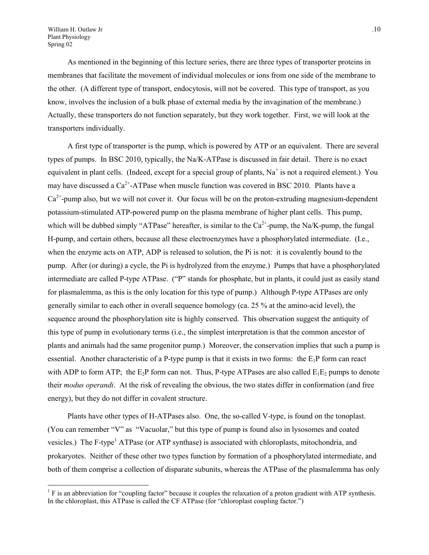$\overline{a}$ 

As mentioned in the beginning of this lecture series, there are three types of transporter proteins in membranes that facilitate the movement of individual molecules or ions from one side of the membrane to the other. (A different type of transport, endocytosis, will not be covered. This type of transport, as you know, involves the inclusion of a bulk phase of external media by the invagination of the membrane.) Actually, these transporters do not function separately, but they work together. First, we will look at the transporters individually.

A first type of transporter is the pump, which is powered by ATP or an equivalent. There are several types of pumps. In BSC 2010, typically, the Na/K-ATPase is discussed in fair detail. There is no exact equivalent in plant cells. (Indeed, except for a special group of plants,  $Na<sup>+</sup>$  is not a required element.) You may have discussed a  $Ca^{2+}$ -ATPase when muscle function was covered in BSC 2010. Plants have a  $Ca<sup>2+</sup>$ -pump also, but we will not cover it. Our focus will be on the proton-extruding magnesium-dependent potassium-stimulated ATP-powered pump on the plasma membrane of higher plant cells. This pump, which will be dubbed simply "ATPase" hereafter, is similar to the  $Ca^{2+}$ -pump, the Na/K-pump, the fungal H-pump, and certain others, because all these electroenzymes have a phosphorylated intermediate. (I.e., when the enzyme acts on ATP, ADP is released to solution, the Pi is not: it is covalently bound to the pump. After (or during) a cycle, the Pi is hydrolyzed from the enzyme.) Pumps that have a phosphorylated intermediate are called P-type ATPase. ("P" stands for phosphate, but in plants, it could just as easily stand for plasmalemma, as this is the only location for this type of pump.) Although P-type ATPases are only generally similar to each other in overall sequence homology (ca. 25 % at the amino-acid level), the sequence around the phosphorylation site is highly conserved. This observation suggest the antiquity of this type of pump in evolutionary terms (i.e., the simplest interpretation is that the common ancestor of plants and animals had the same progenitor pump.) Moreover, the conservation implies that such a pump is essential. Another characteristic of a P-type pump is that it exists in two forms: the  $E_1P$  form can react with ADP to form ATP; the  $E_2P$  form can not. Thus, P-type ATPases are also called  $E_1E_2$  pumps to denote their *modus operandi*. At the risk of revealing the obvious, the two states differ in conformation (and free energy), but they do not differ in covalent structure.

Plants have other types of H-ATPases also. One, the so-called V-type, is found on the tonoplast. (You can remember "V" as "Vacuolar," but this type of pump is found also in lysosomes and coated vesicles.)The F-type<sup>1</sup> ATPase (or ATP synthase) is associated with chloroplasts, mitochondria, and prokaryotes. Neither of these other two types function by formation of a phosphorylated intermediate, and both of them comprise a collection of disparate subunits, whereas the ATPase of the plasmalemma has only

<span id="page-9-0"></span><sup>&</sup>lt;sup>1</sup> F is an abbreviation for "coupling factor" because it couples the relaxation of a proton gradient with ATP synthesis. In the chloroplast, this ATPase is called the CF ATPase (for "chloroplast coupling factor.")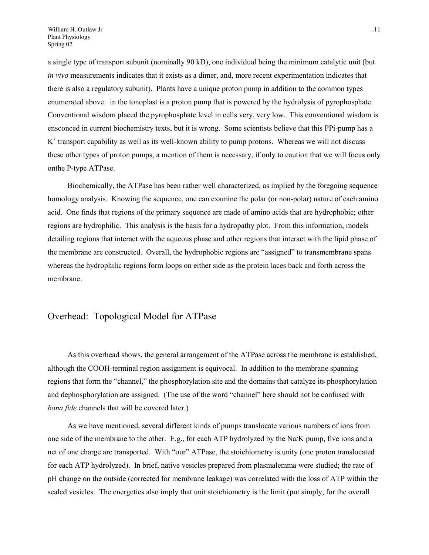a single type of transport subunit (nominally 90 kD), one individual being the minimum catalytic unit (but *in vivo* measurements indicates that it exists as a dimer, and, more recent experimentation indicates that there is also a regulatory subunit). Plants have a unique proton pump in addition to the common types enumerated above: in the tonoplast is a proton pump that is powered by the hydrolysis of pyrophosphate. Conventional wisdom placed the pyrophosphate level in cells very, very low. This conventional wisdom is ensconced in current biochemistry texts, but it is wrong. Some scientists believe that this PPi-pump has a  $K<sup>+</sup>$  transport capability as well as its well-known ability to pump protons. Whereas we will not discuss these other types of proton pumps, a mention of them is necessary, if only to caution that we will focus only onthe P-type ATPase.

Biochemically, the ATPase has been rather well characterized, as implied by the foregoing sequence homology analysis. Knowing the sequence, one can examine the polar (or non-polar) nature of each amino acid. One finds that regions of the primary sequence are made of amino acids that are hydrophobic; other regions are hydrophilic. This analysis is the basis for a hydropathy plot. From this information, models detailing regions that interact with the aqueous phase and other regions that interact with the lipid phase of the membrane are constructed. Overall, the hydrophobic regions are "assigned" to transmembrane spans whereas the hydrophilic regions form loops on either side as the protein laces back and forth across the membrane.

#### Overhead: Topological Model for ATPase

As this overhead shows, the general arrangement of the ATPase across the membrane is established, although the COOH-terminal region assignment is equivocal. In addition to the membrane spanning regions that form the "channel," the phosphorylation site and the domains that catalyze its phosphorylation and dephosphorylation are assigned. (The use of the word "channel" here should not be confused with *bona fide* channels that will be covered later.)

As we have mentioned, several different kinds of pumps translocate various numbers of ions from one side of the membrane to the other. E.g., for each ATP hydrolyzed by the Na/K pump, five ions and a net of one charge are transported. With "our" ATPase, the stoichiometry is unity (one proton translocated for each ATP hydrolyzed). In brief, native vesicles prepared from plasmalemma were studied; the rate of pH change on the outside (corrected for membrane leakage) was correlated with the loss of ATP within the sealed vesicles. The energetics also imply that unit stoichiometry is the limit (put simply, for the overall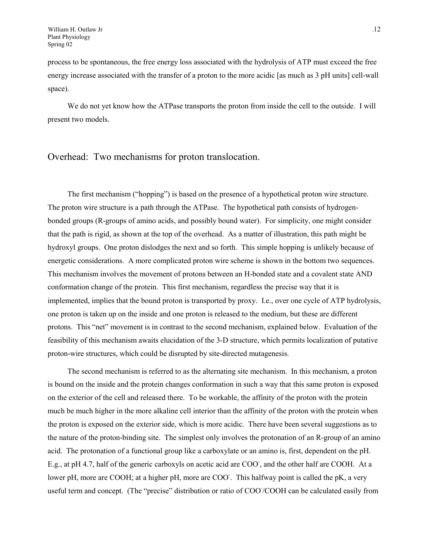process to be spontaneous, the free energy loss associated with the hydrolysis of ATP must exceed the free energy increase associated with the transfer of a proton to the more acidic [as much as 3 pH units] cell-wall space).

We do not yet know how the ATPase transports the proton from inside the cell to the outside. I will present two models.

#### Overhead: Two mechanisms for proton translocation.

The first mechanism ("hopping") is based on the presence of a hypothetical proton wire structure. The proton wire structure is a path through the ATPase. The hypothetical path consists of hydrogenbonded groups (R-groups of amino acids, and possibly bound water). For simplicity, one might consider that the path is rigid, as shown at the top of the overhead. As a matter of illustration, this path might be hydroxyl groups. One proton dislodges the next and so forth. This simple hopping is unlikely because of energetic considerations. A more complicated proton wire scheme is shown in the bottom two sequences. This mechanism involves the movement of protons between an H-bonded state and a covalent state AND conformation change of the protein. This first mechanism, regardless the precise way that it is implemented, implies that the bound proton is transported by proxy. I.e., over one cycle of ATP hydrolysis, one proton is taken up on the inside and one proton is released to the medium, but these are different protons. This "net" movement is in contrast to the second mechanism, explained below. Evaluation of the feasibility of this mechanism awaits elucidation of the 3-D structure, which permits localization of putative proton-wire structures, which could be disrupted by site-directed mutagenesis.

The second mechanism is referred to as the alternating site mechanism. In this mechanism, a proton is bound on the inside and the protein changes conformation in such a way that this same proton is exposed on the exterior of the cell and released there. To be workable, the affinity of the proton with the protein much be much higher in the more alkaline cell interior than the affinity of the proton with the protein when the proton is exposed on the exterior side, which is more acidic. There have been several suggestions as to the nature of the proton-binding site. The simplest only involves the protonation of an R-group of an amino acid. The protonation of a functional group like a carboxylate or an amino is, first, dependent on the pH. E.g., at pH 4.7, half of the generic carboxyls on acetic acid are COO, and the other half are COOH. At a lower pH, more are COOH; at a higher pH, more are COO. This halfway point is called the pK, a very useful term and concept. (The "precise" distribution or ratio of COO/COOH can be calculated easily from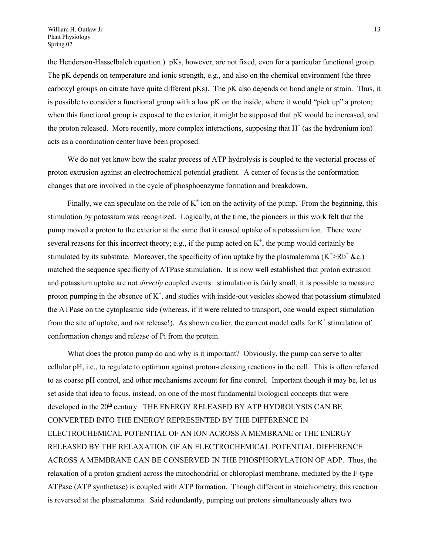the Henderson-Hasselbalch equation.) pKs, however, are not fixed, even for a particular functional group. The pK depends on temperature and ionic strength, e.g., and also on the chemical environment (the three carboxyl groups on citrate have quite different pKs). The pK also depends on bond angle or strain. Thus, it is possible to consider a functional group with a low pK on the inside, where it would "pick up" a proton; when this functional group is exposed to the exterior, it might be supposed that pK would be increased, and the proton released. More recently, more complex interactions, supposing that  $H^+$  (as the hydronium ion) acts as a coordination center have been proposed.

We do not yet know how the scalar process of ATP hydrolysis is coupled to the vectorial process of proton extrusion against an electrochemical potential gradient. A center of focus is the conformation changes that are involved in the cycle of phosphoenzyme formation and breakdown.

Finally, we can speculate on the role of  $K^+$  ion on the activity of the pump. From the beginning, this stimulation by potassium was recognized. Logically, at the time, the pioneers in this work felt that the pump moved a proton to the exterior at the same that it caused uptake of a potassium ion. There were several reasons for this incorrect theory; e.g., if the pump acted on  $K^+$ , the pump would certainly be stimulated by its substrate. Moreover, the specificity of ion uptake by the plasmalemma  $(K^{\dagger} > Rb^{\dagger} \&c.)$ matched the sequence specificity of ATPase stimulation. It is now well established that proton extrusion and potassium uptake are not *directly* coupled events: stimulation is fairly small, it is possible to measure proton pumping in the absence of  $K^+$ , and studies with inside-out vesicles showed that potassium stimulated the ATPase on the cytoplasmic side (whereas, if it were related to transport, one would expect stimulation from the site of uptake, and not release!). As shown earlier, the current model calls for  $K^+$  stimulation of conformation change and release of Pi from the protein.

What does the proton pump do and why is it important? Obviously, the pump can serve to alter cellular pH, i.e., to regulate to optimum against proton-releasing reactions in the cell. This is often referred to as coarse pH control, and other mechanisms account for fine control. Important though it may be, let us set aside that idea to focus, instead, on one of the most fundamental biological concepts that were developed in the  $20<sup>th</sup>$  century. THE ENERGY RELEASED BY ATP HYDROLYSIS CAN BE CONVERTED INTO THE ENERGY REPRESENTED BY THE DIFFERENCE IN ELECTROCHEMICAL POTENTIAL OF AN ION ACROSS A MEMBRANE or THE ENERGY RELEASED BY THE RELAXATION OF AN ELECTROCHEMICAL POTENTIAL DIFFERENCE ACROSS A MEMBRANE CAN BE CONSERVED IN THE PHOSPHORYLATION OF ADP. Thus, the relaxation of a proton gradient across the mitochondrial or chloroplast membrane, mediated by the F-type ATPase (ATP synthetase) is coupled with ATP formation. Though different in stoichiometry, this reaction is reversed at the plasmalemma. Said redundantly, pumping out protons simultaneously alters two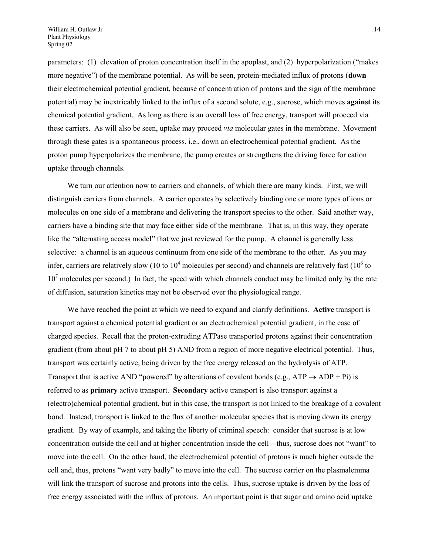parameters: (1) elevation of proton concentration itself in the apoplast, and (2) hyperpolarization ("makes more negative") of the membrane potential. As will be seen, protein-mediated influx of protons (**down**  their electrochemical potential gradient, because of concentration of protons and the sign of the membrane potential) may be inextricably linked to the influx of a second solute, e.g., sucrose, which moves **against** its chemical potential gradient. As long as there is an overall loss of free energy, transport will proceed via these carriers. As will also be seen, uptake may proceed *via* molecular gates in the membrane. Movement through these gates is a spontaneous process, i.e., down an electrochemical potential gradient. As the proton pump hyperpolarizes the membrane, the pump creates or strengthens the driving force for cation uptake through channels.

We turn our attention now to carriers and channels, of which there are many kinds. First, we will distinguish carriers from channels. A carrier operates by selectively binding one or more types of ions or molecules on one side of a membrane and delivering the transport species to the other. Said another way, carriers have a binding site that may face either side of the membrane. That is, in this way, they operate like the "alternating access model" that we just reviewed for the pump. A channel is generally less selective: a channel is an aqueous continuum from one side of the membrane to the other. As you may infer, carriers are relatively slow (10 to  $10^4$  molecules per second) and channels are relatively fast ( $10^6$  to  $10<sup>7</sup>$  molecules per second.) In fact, the speed with which channels conduct may be limited only by the rate of diffusion, saturation kinetics may not be observed over the physiological range.

We have reached the point at which we need to expand and clarify definitions. **Active** transport is transport against a chemical potential gradient or an electrochemical potential gradient, in the case of charged species. Recall that the proton-extruding ATPase transported protons against their concentration gradient (from about pH 7 to about pH 5) AND from a region of more negative electrical potential. Thus, transport was certainly active, being driven by the free energy released on the hydrolysis of ATP. Transport that is active AND "powered" by alterations of covalent bonds (e.g.,  $ATP \rightarrow ADP + Pi$ ) is referred to as **primary** active transport. **Secondary** active transport is also transport against a (electro)chemical potential gradient, but in this case, the transport is not linked to the breakage of a covalent bond. Instead, transport is linked to the flux of another molecular species that is moving down its energy gradient. By way of example, and taking the liberty of criminal speech: consider that sucrose is at low concentration outside the cell and at higher concentration inside the cell—thus, sucrose does not "want" to move into the cell. On the other hand, the electrochemical potential of protons is much higher outside the cell and, thus, protons "want very badly" to move into the cell. The sucrose carrier on the plasmalemma will link the transport of sucrose and protons into the cells. Thus, sucrose uptake is driven by the loss of free energy associated with the influx of protons. An important point is that sugar and amino acid uptake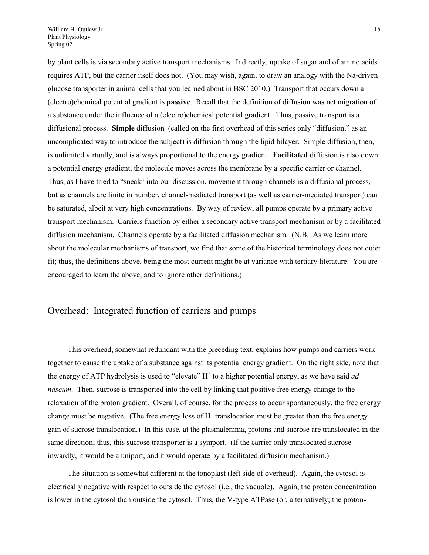by plant cells is via secondary active transport mechanisms. Indirectly, uptake of sugar and of amino acids requires ATP, but the carrier itself does not. (You may wish, again, to draw an analogy with the Na-driven glucose transporter in animal cells that you learned about in BSC 2010.) Transport that occurs down a (electro)chemical potential gradient is **passive**. Recall that the definition of diffusion was net migration of a substance under the influence of a (electro)chemical potential gradient. Thus, passive transport is a diffusional process. **Simple** diffusion (called on the first overhead of this series only "diffusion," as an uncomplicated way to introduce the subject) is diffusion through the lipid bilayer. Simple diffusion, then, is unlimited virtually, and is always proportional to the energy gradient. **Facilitated** diffusion is also down a potential energy gradient, the molecule moves across the membrane by a specific carrier or channel. Thus, as I have tried to "sneak" into our discussion, movement through channels is a diffusional process, but as channels are finite in number, channel-mediated transport (as well as carrier-mediated transport) can be saturated, albeit at very high concentrations. By way of review, all pumps operate by a primary active transport mechanism. Carriers function by either a secondary active transport mechanism or by a facilitated diffusion mechanism. Channels operate by a facilitated diffusion mechanism. (N.B. As we learn more about the molecular mechanisms of transport, we find that some of the historical terminology does not quiet fit; thus, the definitions above, being the most current might be at variance with tertiary literature. You are encouraged to learn the above, and to ignore other definitions.)

#### Overhead: Integrated function of carriers and pumps

This overhead, somewhat redundant with the preceding text, explains how pumps and carriers work together to cause the uptake of a substance against its potential energy gradient. On the right side, note that the energy of ATP hydrolysis is used to "elevate"  $H<sup>+</sup>$  to a higher potential energy, as we have said *ad naseum*. Then, sucrose is transported into the cell by linking that positive free energy change to the relaxation of the proton gradient. Overall, of course, for the process to occur spontaneously, the free energy change must be negative. (The free energy loss of  $H^+$  translocation must be greater than the free energy gain of sucrose translocation.) In this case, at the plasmalemma, protons and sucrose are translocated in the same direction; thus, this sucrose transporter is a symport. (If the carrier only translocated sucrose inwardly, it would be a uniport, and it would operate by a facilitated diffusion mechanism.)

The situation is somewhat different at the tonoplast (left side of overhead). Again, the cytosol is electrically negative with respect to outside the cytosol (i.e., the vacuole). Again, the proton concentration is lower in the cytosol than outside the cytosol. Thus, the V-type ATPase (or, alternatively; the proton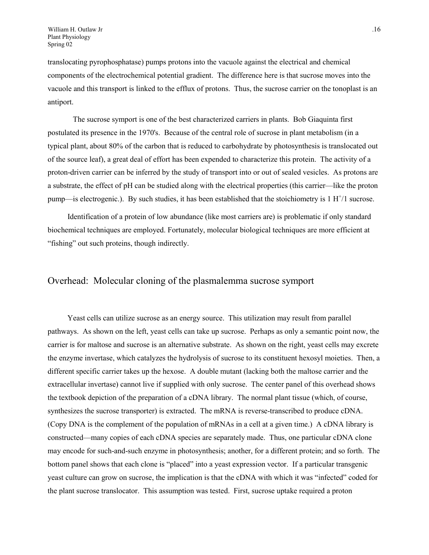translocating pyrophosphatase) pumps protons into the vacuole against the electrical and chemical components of the electrochemical potential gradient. The difference here is that sucrose moves into the vacuole and this transport is linked to the efflux of protons. Thus, the sucrose carrier on the tonoplast is an antiport.

 The sucrose symport is one of the best characterized carriers in plants. Bob Giaquinta first postulated its presence in the 1970's. Because of the central role of sucrose in plant metabolism (in a typical plant, about 80% of the carbon that is reduced to carbohydrate by photosynthesis is translocated out of the source leaf), a great deal of effort has been expended to characterize this protein. The activity of a proton-driven carrier can be inferred by the study of transport into or out of sealed vesicles. As protons are a substrate, the effect of pH can be studied along with the electrical properties (this carrier—like the proton pump—is electrogenic.). By such studies, it has been established that the stoichiometry is  $1 \text{ H}^{+}/1$  sucrose.

Identification of a protein of low abundance (like most carriers are) is problematic if only standard biochemical techniques are employed. Fortunately, molecular biological techniques are more efficient at "fishing" out such proteins, though indirectly.

#### Overhead: Molecular cloning of the plasmalemma sucrose symport

Yeast cells can utilize sucrose as an energy source. This utilization may result from parallel pathways. As shown on the left, yeast cells can take up sucrose. Perhaps as only a semantic point now, the carrier is for maltose and sucrose is an alternative substrate. As shown on the right, yeast cells may excrete the enzyme invertase, which catalyzes the hydrolysis of sucrose to its constituent hexosyl moieties. Then, a different specific carrier takes up the hexose. A double mutant (lacking both the maltose carrier and the extracellular invertase) cannot live if supplied with only sucrose. The center panel of this overhead shows the textbook depiction of the preparation of a cDNA library. The normal plant tissue (which, of course, synthesizes the sucrose transporter) is extracted. The mRNA is reverse-transcribed to produce cDNA. (Copy DNA is the complement of the population of mRNAs in a cell at a given time.) A cDNA library is constructed—many copies of each cDNA species are separately made. Thus, one particular cDNA clone may encode for such-and-such enzyme in photosynthesis; another, for a different protein; and so forth. The bottom panel shows that each clone is "placed" into a yeast expression vector. If a particular transgenic yeast culture can grow on sucrose, the implication is that the cDNA with which it was "infected" coded for the plant sucrose translocator. This assumption was tested. First, sucrose uptake required a proton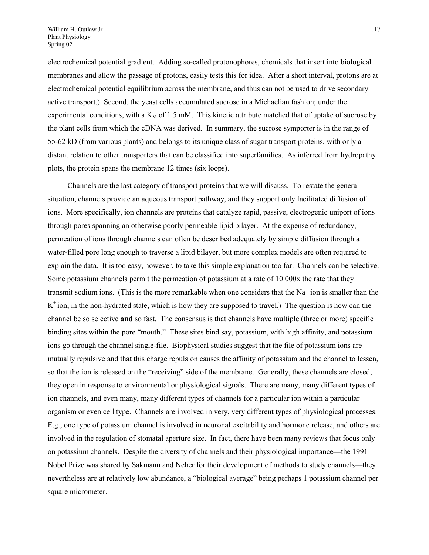electrochemical potential gradient. Adding so-called protonophores, chemicals that insert into biological membranes and allow the passage of protons, easily tests this for idea. After a short interval, protons are at electrochemical potential equilibrium across the membrane, and thus can not be used to drive secondary active transport.) Second, the yeast cells accumulated sucrose in a Michaelian fashion; under the experimental conditions, with a  $K_M$  of 1.5 mM. This kinetic attribute matched that of uptake of sucrose by the plant cells from which the cDNA was derived. In summary, the sucrose symporter is in the range of 55-62 kD (from various plants) and belongs to its unique class of sugar transport proteins, with only a distant relation to other transporters that can be classified into superfamilies. As inferred from hydropathy plots, the protein spans the membrane 12 times (six loops).

Channels are the last category of transport proteins that we will discuss. To restate the general situation, channels provide an aqueous transport pathway, and they support only facilitated diffusion of ions. More specifically, ion channels are proteins that catalyze rapid, passive, electrogenic uniport of ions through pores spanning an otherwise poorly permeable lipid bilayer. At the expense of redundancy, permeation of ions through channels can often be described adequately by simple diffusion through a water-filled pore long enough to traverse a lipid bilayer, but more complex models are often required to explain the data. It is too easy, however, to take this simple explanation too far. Channels can be selective. Some potassium channels permit the permeation of potassium at a rate of 10 000x the rate that they transmit sodium ions. (This is the more remarkable when one considers that the  $Na<sup>+</sup>$  ion is smaller than the  $K^+$  ion, in the non-hydrated state, which is how they are supposed to travel.) The question is how can the channel be so selective **and** so fast. The consensus is that channels have multiple (three or more) specific binding sites within the pore "mouth." These sites bind say, potassium, with high affinity, and potassium ions go through the channel single-file. Biophysical studies suggest that the file of potassium ions are mutually repulsive and that this charge repulsion causes the affinity of potassium and the channel to lessen, so that the ion is released on the "receiving" side of the membrane. Generally, these channels are closed; they open in response to environmental or physiological signals. There are many, many different types of ion channels, and even many, many different types of channels for a particular ion within a particular organism or even cell type. Channels are involved in very, very different types of physiological processes. E.g., one type of potassium channel is involved in neuronal excitability and hormone release, and others are involved in the regulation of stomatal aperture size. In fact, there have been many reviews that focus only on potassium channels. Despite the diversity of channels and their physiological importance—the 1991 Nobel Prize was shared by Sakmann and Neher for their development of methods to study channels—they nevertheless are at relatively low abundance, a "biological average" being perhaps 1 potassium channel per square micrometer.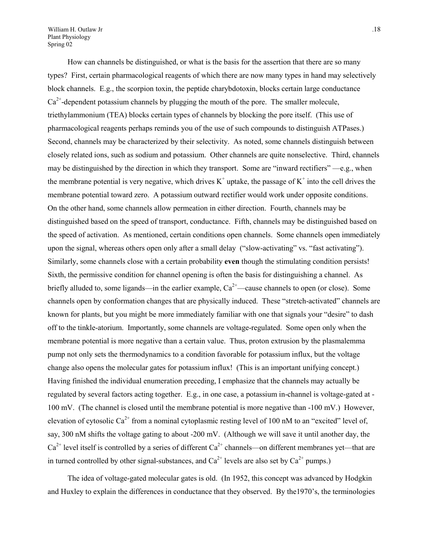William H. Outlaw Jr ... 18 Plant Physiology Spring 02

How can channels be distinguished, or what is the basis for the assertion that there are so many types? First, certain pharmacological reagents of which there are now many types in hand may selectively block channels. E.g., the scorpion toxin, the peptide charybdotoxin, blocks certain large conductance  $Ca^{2+}$ -dependent potassium channels by plugging the mouth of the pore. The smaller molecule, triethylammonium (TEA) blocks certain types of channels by blocking the pore itself. (This use of pharmacological reagents perhaps reminds you of the use of such compounds to distinguish ATPases.) Second, channels may be characterized by their selectivity. As noted, some channels distinguish between closely related ions, such as sodium and potassium. Other channels are quite nonselective. Third, channels may be distinguished by the direction in which they transport. Some are "inward rectifiers" —e.g., when the membrane potential is very negative, which drives  $K^+$  uptake, the passage of  $K^+$  into the cell drives the membrane potential toward zero. A potassium outward rectifier would work under opposite conditions. On the other hand, some channels allow permeation in either direction. Fourth, channels may be distinguished based on the speed of transport, conductance. Fifth, channels may be distinguished based on the speed of activation. As mentioned, certain conditions open channels. Some channels open immediately upon the signal, whereas others open only after a small delay ("slow-activating" vs. "fast activating"). Similarly, some channels close with a certain probability **even** though the stimulating condition persists! Sixth, the permissive condition for channel opening is often the basis for distinguishing a channel. As briefly alluded to, some ligands—in the earlier example,  $Ca^{2+}$ —cause channels to open (or close). Some channels open by conformation changes that are physically induced. These "stretch-activated" channels are known for plants, but you might be more immediately familiar with one that signals your "desire" to dash off to the tinkle-atorium. Importantly, some channels are voltage-regulated. Some open only when the membrane potential is more negative than a certain value. Thus, proton extrusion by the plasmalemma pump not only sets the thermodynamics to a condition favorable for potassium influx, but the voltage change also opens the molecular gates for potassium influx! (This is an important unifying concept.) Having finished the individual enumeration preceding, I emphasize that the channels may actually be regulated by several factors acting together. E.g., in one case, a potassium in-channel is voltage-gated at - 100 mV. (The channel is closed until the membrane potential is more negative than -100 mV.) However, elevation of cytosolic  $Ca^{2+}$  from a nominal cytoplasmic resting level of 100 nM to an "excited" level of, say, 300 nM shifts the voltage gating to about -200 mV. (Although we will save it until another day, the  $Ca^{2+}$  level itself is controlled by a series of different  $Ca^{2+}$  channels—on different membranes yet—that are in turned controlled by other signal-substances, and  $Ca^{2+}$  levels are also set by  $Ca^{2+}$  pumps.)

The idea of voltage-gated molecular gates is old. (In 1952, this concept was advanced by Hodgkin and Huxley to explain the differences in conductance that they observed. By the1970's, the terminologies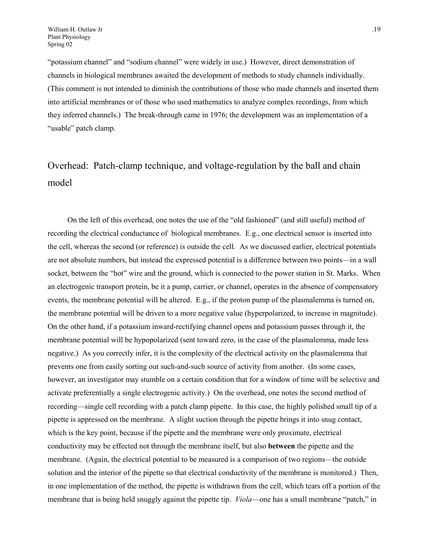"potassium channel" and "sodium channel" were widely in use.) However, direct demonstration of channels in biological membranes awaited the development of methods to study channels individually. (This comment is not intended to diminish the contributions of those who made channels and inserted them into artificial membranes or of those who used mathematics to analyze complex recordings, from which they inferred channels.) The break-through came in 1976; the development was an implementation of a "usable" patch clamp.

# Overhead: Patch-clamp technique, and voltage-regulation by the ball and chain model

On the left of this overhead, one notes the use of the "old fashioned" (and still useful) method of recording the electrical conductance of biological membranes. E.g., one electrical sensor is inserted into the cell, whereas the second (or reference) is outside the cell. As we discussed earlier, electrical potentials are not absolute numbers, but instead the expressed potential is a difference between two points—in a wall socket, between the "hot" wire and the ground, which is connected to the power station in St. Marks. When an electrogenic transport protein, be it a pump, carrier, or channel, operates in the absence of compensatory events, the membrane potential will be altered. E.g., if the proton pump of the plasmalemma is turned on, the membrane potential will be driven to a more negative value (hyperpolarized, to increase in magnitude). On the other hand, if a potassium inward-rectifying channel opens and potassium passes through it, the membrane potential will be hypopolarized (sent toward zero, in the case of the plasmalemma, made less negative.) As you correctly infer, it is the complexity of the electrical activity on the plasmalemma that prevents one from easily sorting out such-and-such source of activity from another. (In some cases, however, an investigator may stumble on a certain condition that for a window of time will be selective and activate preferentially a single electrogenic activity.) On the overhead, one notes the second method of recording—single cell recording with a patch clamp pipette. In this case, the highly polished small tip of a pipette is appressed on the membrane. A slight suction through the pipette brings it into snug contact, which is the key point, because if the pipette and the membrane were only proximate, electrical conductivity may be effected not through the membrane itself, but also **between** the pipette and the membrane. (Again, the electrical potential to be measured is a comparison of two regions—the outside solution and the interior of the pipette so that electrical conductivity of the membrane is monitored.) Then, in one implementation of the method, the pipette is withdrawn from the cell, which tears off a portion of the membrane that is being held snuggly against the pipette tip. *Viola*—one has a small membrane "patch," in